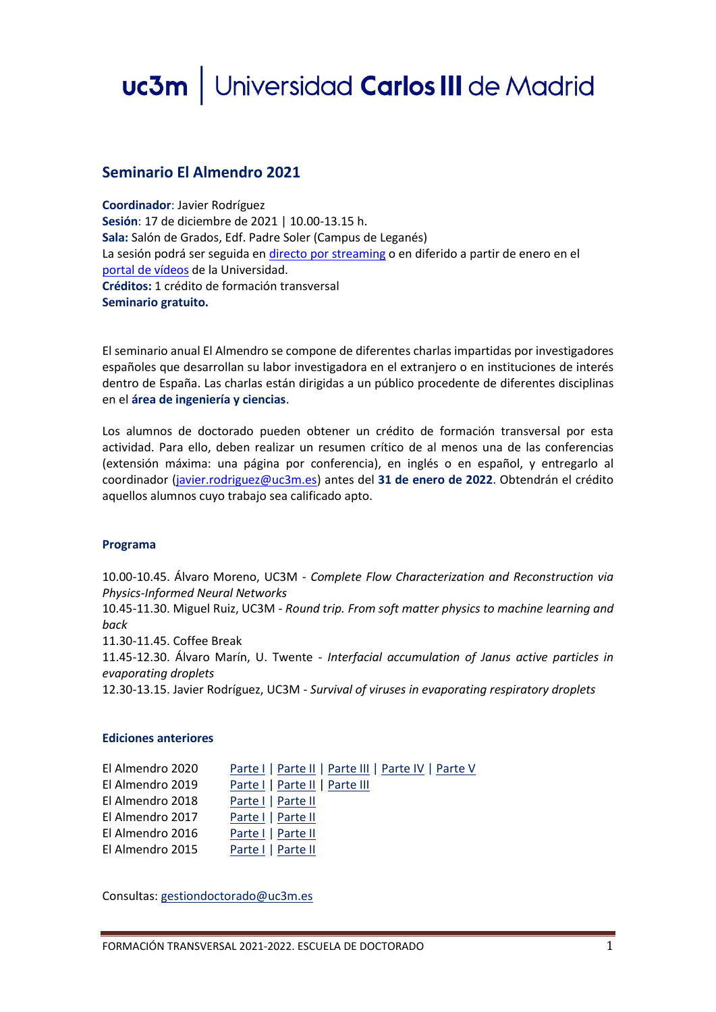# uc3m | Universidad Carlos III de Madrid

## **Seminario El Almendro 2021**

**Coordinador**: Javier Rodríguez **Sesión**: 17 de diciembre de 2021 | 10.00-13.15 h. **Sala:** Salón de Grados, Edf. Padre Soler (Campus de Leganés) La sesión podrá ser seguida e[n directo por streaming](https://media.uc3m.es/live/event/61b707338f420822e68b459d) o en diferido a partir de enero en el [portal de vídeos](https://media.uc3m.es/) de la Universidad. **Créditos:** 1 crédito de formación transversal **Seminario gratuito.**

El seminario anual El Almendro se compone de diferentes charlas impartidas por investigadores españoles que desarrollan su labor investigadora en el extranjero o en instituciones de interés dentro de España. Las charlas están dirigidas a un público procedente de diferentes disciplinas en el **área de ingeniería y ciencias**.

Los alumnos de doctorado pueden obtener un crédito de formación transversal por esta actividad. Para ello, deben realizar un resumen crítico de al menos una de las conferencias (extensión máxima: una página por conferencia), en inglés o en español, y entregarlo al coordinador [\(javier.rodriguez@uc3m.es\)](mailto:javier.rodriguez@uc3m.es) antes del **31 de enero de 2022**. Obtendrán el crédito aquellos alumnos cuyo trabajo sea calificado apto.

### **Programa**

10.00-10.45. Álvaro Moreno, UC3M - *Complete Flow Characterization and Reconstruction via Physics-Informed Neural Networks*

10.45-11.30. Miguel Ruiz, UC3M - *Round trip. From soft matter physics to machine learning and back*

11.30-11.45. Coffee Break

11.45-12.30. Álvaro Marín, U. Twente - *Interfacial accumulation of Janus active particles in evaporating droplets*

12.30-13.15. Javier Rodríguez, UC3M - *Survival of viruses in evaporating respiratory droplets*

### **Ediciones anteriores**

| El Almendro 2020 | Parte I   Parte II   Parte III   Parte IV   Parte V |
|------------------|-----------------------------------------------------|
| El Almendro 2019 | Parte I   Parte II   Parte III                      |
| El Almendro 2018 | Parte I   Parte II                                  |
| El Almendro 2017 | Parte I   Parte II                                  |
| El Almendro 2016 | Parte I   Parte II                                  |
| El Almendro 2015 | Parte I   Parte II                                  |

Consultas: [gestiondoctorado@uc3m.es](mailto:gestiondoctorado@uc3m.es)